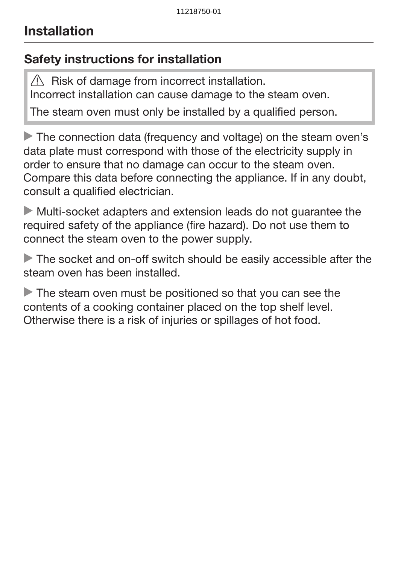### Safety instructions for installation

 $\sqrt{N}$  Risk of damage from incorrect installation. Incorrect installation can cause damage to the steam oven.

The steam oven must only be installed by a qualified person.

The connection data (frequency and voltage) on the steam oven's data plate must correspond with those of the electricity supply in order to ensure that no damage can occur to the steam oven. Compare this data before connecting the appliance. If in any doubt, consult a qualified electrician.

 Multi-socket adapters and extension leads do not guarantee the required safety of the appliance (fire hazard). Do not use them to connect the steam oven to the power supply.

The socket and on-off switch should be easily accessible after the steam oven has been installed.

The steam oven must be positioned so that you can see the contents of a cooking container placed on the top shelf level. Otherwise there is a risk of injuries or spillages of hot food.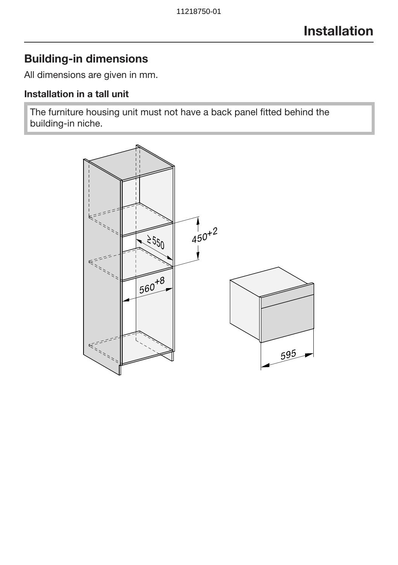### Building-in dimensions

All dimensions are given in mm.

### Installation in a tall unit

The furniture housing unit must not have a back panel fitted behind the building-in niche.

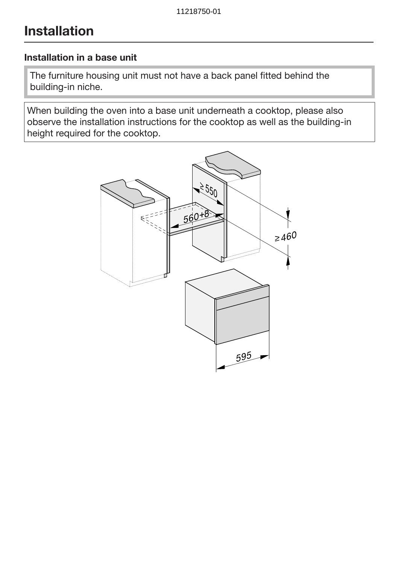#### Installation in a base unit

The furniture housing unit must not have a back panel fitted behind the building-in niche.

When building the oven into a base unit underneath a cooktop, please also observe the installation instructions for the cooktop as well as the building-in height required for the cooktop.

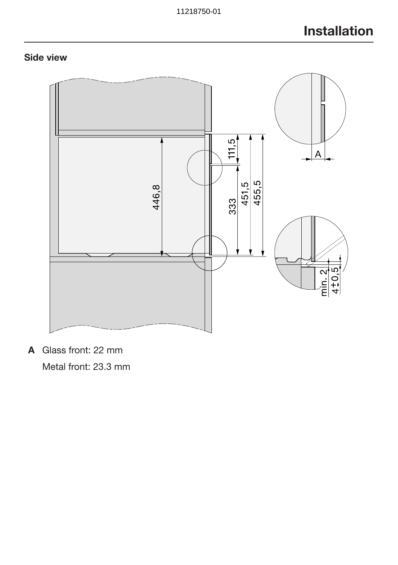### Side view



A Glass front: 22 mm Metal front: 23.3 mm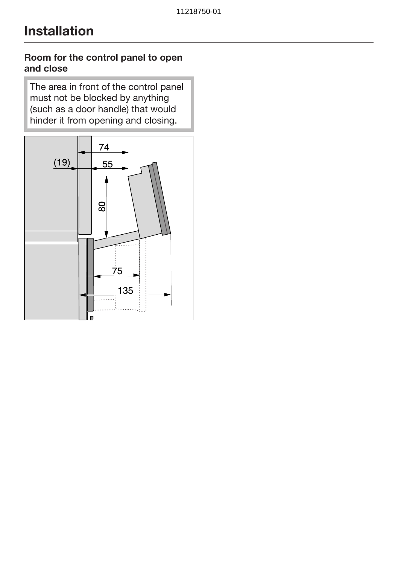#### Room for the control panel to open and close

The area in front of the control panel must not be blocked by anything (such as a door handle) that would hinder it from opening and closing.

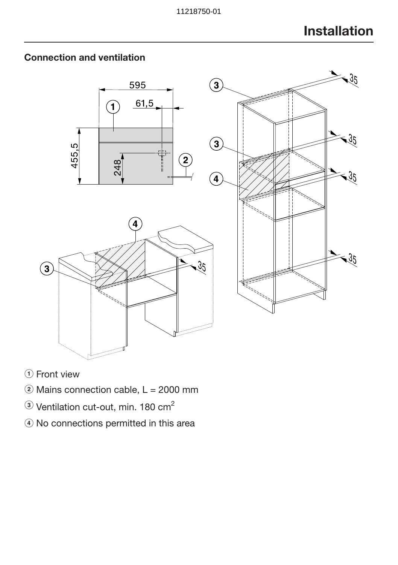

### Connection and ventilation

- (1) Front view
- $\ddot{2}$  Mains connection cable, L = 2000 mm
- $\circledR$  Ventilation cut-out, min. 180 cm<sup>2</sup>
- d No connections permitted in this area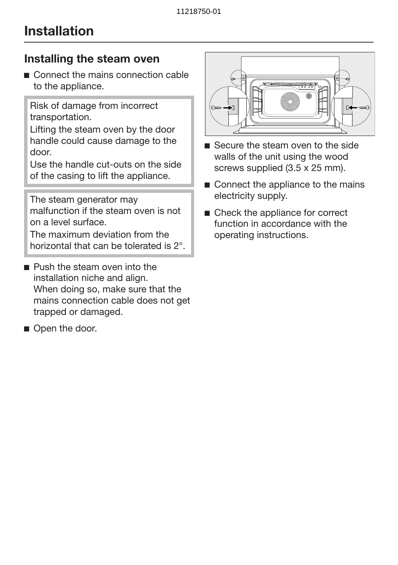### Installing the steam oven

■ Connect the mains connection cable to the appliance.

Risk of damage from incorrect transportation.

Lifting the steam oven by the door handle could cause damage to the door.

Use the handle cut-outs on the side of the casing to lift the appliance.

The steam generator may malfunction if the steam oven is not on a level surface.

The maximum deviation from the horizontal that can be tolerated is 2°.

- **Push the steam oven into the** installation niche and align. When doing so, make sure that the mains connection cable does not get trapped or damaged.
- Open the door.



- Secure the steam oven to the side walls of the unit using the wood screws supplied (3.5 x 25 mm).
- Connect the appliance to the mains electricity supply.
- Check the appliance for correct function in accordance with the operating instructions.